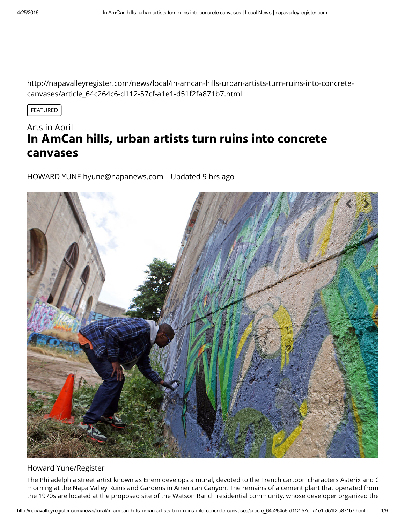http://napavalleyregister.com/news/local/in-amcan-hills-urban-artists-turn-ruins-into-concretecanvases/article\_64c264c6-d112-57cf-a1e1-d51f2fa871b7.html

FEATURED

# Arts in April **In AmCan hills, urban artists turn ruins into concrete canvases**

HOWARD YUNE [hyune@napanews.com](https://napavalleyregister-dot-com.bloxcms.com/users/profile/Howard%20Yune) Updated 9 hrs ago



#### Howard Yune/Register

The Philadelphia street artist known as Enem develops a mural, devoted to the French cartoon characters Asterix and C morning at the Napa Valley Ruins and Gardens in American Canyon. The remains of a cement plant that operated from the 1970s are located at the proposed site of the Watson Ranch residential community, whose developer organized the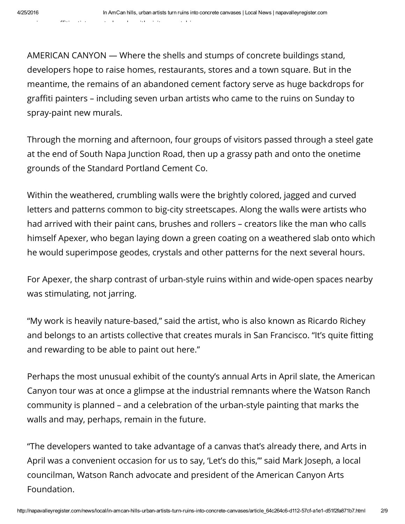AMERICAN CANYON — Where the shells and stumps of concrete buildings stand, developers hope to raise homes, restaurants, stores and a town square. But in the meantime, the remains of an abandoned cement factory serve as huge backdrops for graffiti painters – including seven urban artists who came to the ruins on Sunday to spray-paint new murals.

Through the morning and afternoon, four groups of visitors passed through a steel gate at the end of South Napa Junction Road, then up a grassy path and onto the onetime grounds of the Standard Portland Cement Co.

Within the weathered, crumbling walls were the brightly colored, jagged and curved letters and patterns common to big-city streetscapes. Along the walls were artists who had arrived with their paint cans, brushes and rollers – creators like the man who calls himself Apexer, who began laying down a green coating on a weathered slab onto which he would superimpose geodes, crystals and other patterns for the next several hours.

For Apexer, the sharp contrast of urban-style ruins within and wide-open spaces nearby was stimulating, not jarring.

"My work is heavily nature-based," said the artist, who is also known as Ricardo Richey and belongs to an artists collective that creates murals in San Francisco. "It's quite fitting and rewarding to be able to paint out here."

Perhaps the most unusual exhibit of the county's annual Arts in April slate, the American Canyon tour was at once a glimpse at the industrial remnants where the Watson Ranch community is planned – and a celebration of the urban-style painting that marks the walls and may, perhaps, remain in the future.

"The developers wanted to take advantage of a canvas that's already there, and Arts in April was a convenient occasion for us to say, 'Let's do this,'" said Mark Joseph, a local councilman, Watson Ranch advocate and president of the American Canyon Arts Foundation.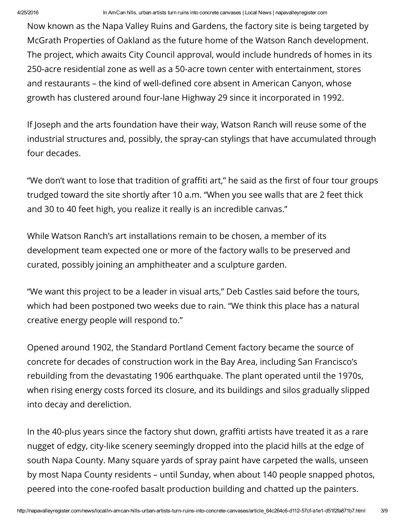Now known as the Napa Valley Ruins and Gardens, the factory site is being targeted by McGrath Properties of Oakland as the future home of the Watson Ranch development. The project, which awaits City Council approval, would include hundreds of homes in its 250-acre residential zone as well as a 50-acre town center with entertainment, stores and restaurants – the kind of well-defined core absent in American Canyon, whose growth has clustered around four-lane Highway 29 since it incorporated in 1992.

If Joseph and the arts foundation have their way, Watson Ranch will reuse some of the industrial structures and, possibly, the spray-can stylings that have accumulated through four decades.

"We don't want to lose that tradition of graffiti art," he said as the first of four tour groups trudged toward the site shortly after 10 a.m. "When you see walls that are 2 feet thick and 30 to 40 feet high, you realize it really is an incredible canvas."

While Watson Ranch's art installations remain to be chosen, a member of its development team expected one or more of the factory walls to be preserved and curated, possibly joining an amphitheater and a sculpture garden.

"We want this project to be a leader in visual arts," Deb Castles said before the tours, which had been postponed two weeks due to rain. "We think this place has a natural creative energy people will respond to."

Opened around 1902, the Standard Portland Cement factory became the source of concrete for decades of construction work in the Bay Area, including San Francisco's rebuilding from the devastating 1906 earthquake. The plant operated until the 1970s, when rising energy costs forced its closure, and its buildings and silos gradually slipped into decay and dereliction.

In the 40-plus years since the factory shut down, graffiti artists have treated it as a rare nugget of edgy, city-like scenery seemingly dropped into the placid hills at the edge of south Napa County. Many square yards of spray paint have carpeted the walls, unseen by most Napa County residents – until Sunday, when about 140 people snapped photos, peered into the cone-roofed basalt production building and chatted up the painters.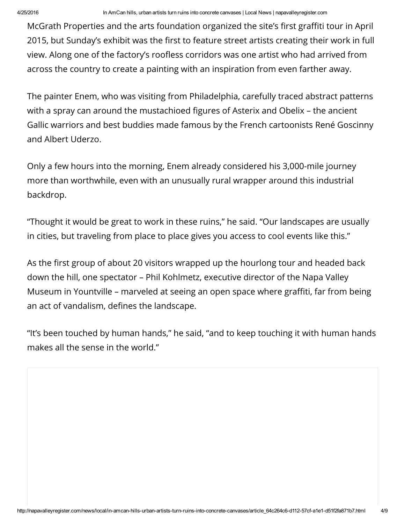McGrath Properties and the arts foundation organized the site's first graffiti tour in April 2015, but Sunday's exhibit was the first to feature street artists creating their work in full view. Along one of the factory's roofless corridors was one artist who had arrived from across the country to create a painting with an inspiration from even farther away.

The painter Enem, who was visiting from Philadelphia, carefully traced abstract patterns with a spray can around the mustachioed figures of Asterix and Obelix - the ancient Gallic warriors and best buddies made famous by the French cartoonists René Goscinny and Albert Uderzo.

Only a few hours into the morning, Enem already considered his 3,000-mile journey more than worthwhile, even with an unusually rural wrapper around this industrial backdrop.

"Thought it would be great to work in these ruins," he said. "Our landscapes are usually in cities, but traveling from place to place gives you access to cool events like this."

As the first group of about 20 visitors wrapped up the hourlong tour and headed back down the hill, one spectator – Phil Kohlmetz, executive director of the Napa Valley Museum in Yountville – marveled at seeing an open space where graffiti, far from being an act of vandalism, defines the landscape.

"It's been touched by human hands," he said, "and to keep touching it with human hands makes all the sense in the world."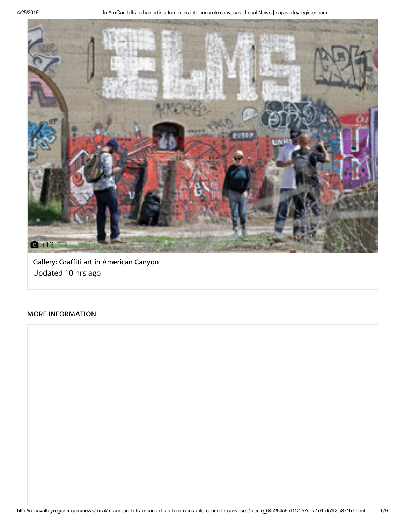

Gallery: Graffiti art in [American](http://napavalleyregister.com/gallery-graffiti-art-in-american-canyon/collection_0166a243-0aa7-507e-aa5c-b26450f54ae3.html) Canyon Updated 10 hrs ago

### MORE INFORMATION